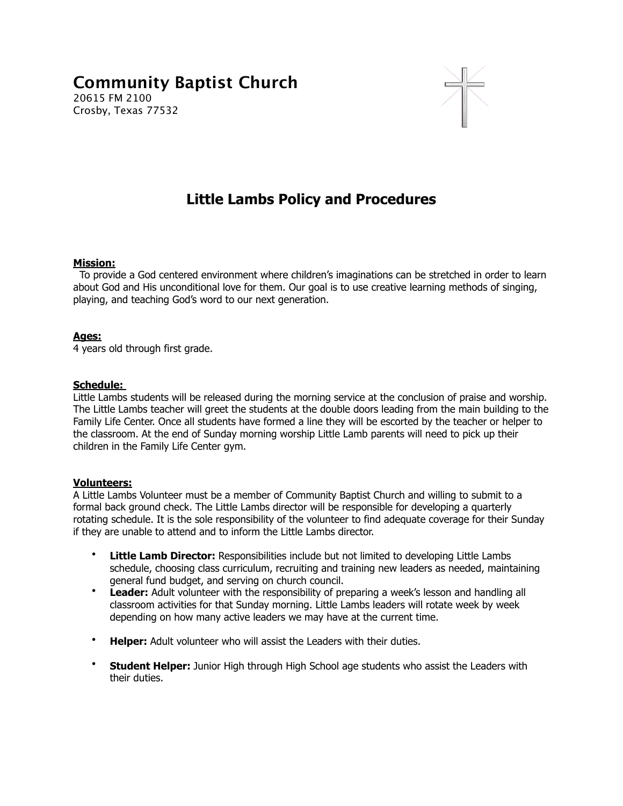# **Community Baptist Church**  20615 FM 2100 Crosby, Texas 77532



# **Little Lambs Policy and Procedures**

#### **Mission:**

 To provide a God centered environment where children's imaginations can be stretched in order to learn about God and His unconditional love for them. Our goal is to use creative learning methods of singing, playing, and teaching God's word to our next generation.

#### **Ages:**

4 years old through first grade.

#### **Schedule:**

Little Lambs students will be released during the morning service at the conclusion of praise and worship. The Little Lambs teacher will greet the students at the double doors leading from the main building to the Family Life Center. Once all students have formed a line they will be escorted by the teacher or helper to the classroom. At the end of Sunday morning worship Little Lamb parents will need to pick up their children in the Family Life Center gym.

#### **Volunteers:**

A Little Lambs Volunteer must be a member of Community Baptist Church and willing to submit to a formal back ground check. The Little Lambs director will be responsible for developing a quarterly rotating schedule. It is the sole responsibility of the volunteer to find adequate coverage for their Sunday if they are unable to attend and to inform the Little Lambs director.

- **Little Lamb Director:** Responsibilities include but not limited to developing Little Lambs schedule, choosing class curriculum, recruiting and training new leaders as needed, maintaining general fund budget, and serving on church council.
- **Leader:** Adult volunteer with the responsibility of preparing a week's lesson and handling all classroom activities for that Sunday morning. Little Lambs leaders will rotate week by week depending on how many active leaders we may have at the current time.
- **Helper:** Adult volunteer who will assist the Leaders with their duties.
- **Student Helper:** Junior High through High School age students who assist the Leaders with their duties.